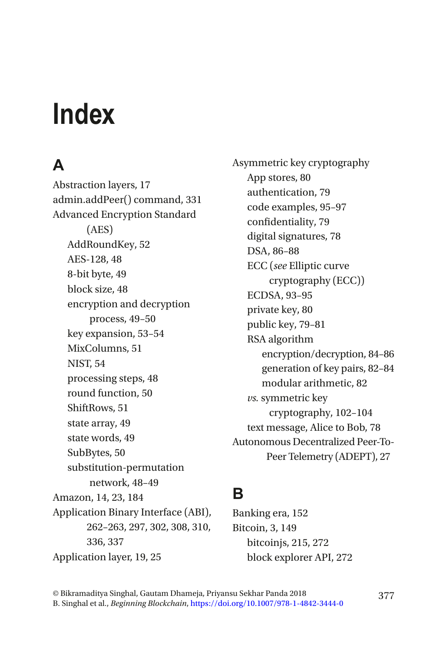# **Index**

# **A**

Abstraction layers, 17 admin.addPeer() command, 331 Advanced Encryption Standard (AES) AddRoundKey, 52 AES-128, 48 8-bit byte, 49 block size, 48 encryption and decryption process, 49–50 key expansion, 53–54 MixColumns, 51 NIST, 54 processing steps, 48 round function, 50 ShiftRows, 51 state array, 49 state words, 49 SubBytes, 50 substitution-permutation network, 48–49 Amazon, 14, 23, 184 Application Binary Interface (ABI), 262–263, 297, 302, 308, 310, 336, 337 Application layer, 19, 25

Asymmetric key cryptography App stores, 80 authentication, 79 code examples, 95–97 confidentiality, 79 digital signatures, 78 DSA, 86–88 ECC (*see* Elliptic curve cryptography (ECC)) ECDSA, 93–95 private key, 80 public key, 79–81 RSA algorithm encryption/decryption, 84–86 generation of key pairs, 82–84 modular arithmetic, 82 *vs.* symmetric key cryptography, 102–104 text message, Alice to Bob, 78 Autonomous Decentralized Peer-To-Peer Telemetry (ADEPT), 27

#### **B**

Banking era, 152 Bitcoin, 3, 149 bitcoinjs, 215, 272 block explorer API, 272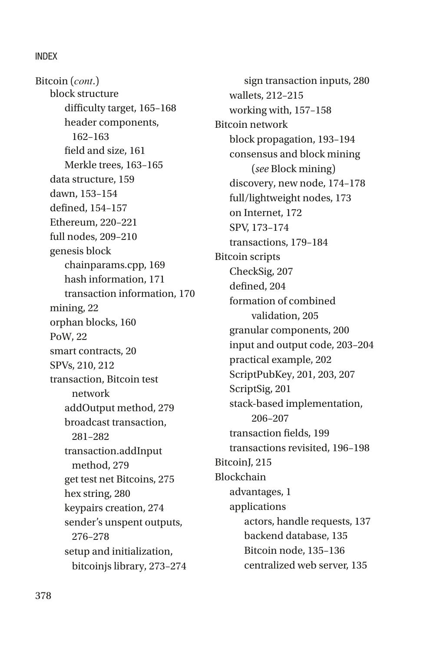block structure difficulty target, 165–168 header components, 162–163 field and size, 161 Merkle trees, 163–165 data structure, 159 dawn, 153–154 defined, 154–157 Ethereum, 220–221 full nodes, 209–210 genesis block chainparams.cpp, 169 hash information, 171 transaction information, 170 mining, 22 orphan blocks, 160 PoW, 22 smart contracts, 20 SPVs, 210, 212 transaction, Bitcoin test network addOutput method, 279 broadcast transaction, 281–282 transaction.addInput method, 279 get test net Bitcoins, 275 hex string, 280 keypairs creation, 274 sender's unspent outputs, 276–278 setup and initialization, bitcoinjs library, 273–274 Bitcoin (*cont*.)

sign transaction inputs, 280 wallets, 212–215 working with, 157–158 Bitcoin network block propagation, 193–194 consensus and block mining (*see* Block mining) discovery, new node, 174–178 full/lightweight nodes, 173 on Internet, 172 SPV, 173–174 transactions, 179–184 Bitcoin scripts CheckSig, 207 defined, 204 formation of combined validation, 205 granular components, 200 input and output code, 203–204 practical example, 202 ScriptPubKey, 201, 203, 207 ScriptSig, 201 stack-based implementation, 206–207 transaction fields, 199 transactions revisited, 196–198 Bitcoin<sub>I</sub>, 215 Blockchain advantages, 1 applications actors, handle requests, 137 backend database, 135 Bitcoin node, 135–136 centralized web server, 135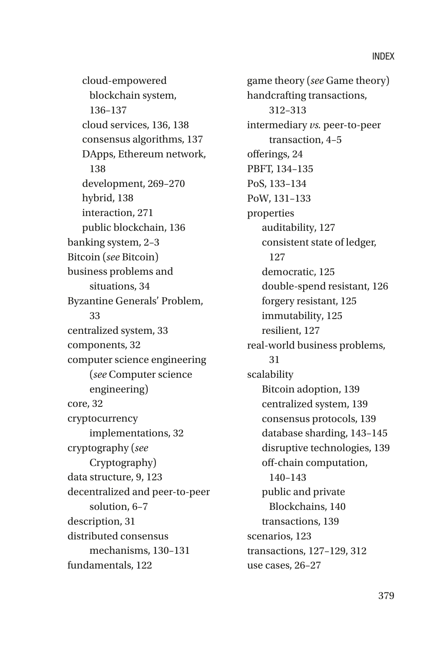cloud-empowered blockchain system, 136–137 cloud services, 136, 138 consensus algorithms, 137 DApps, Ethereum network, 138 development, 269–270 hybrid, 138 interaction, 271 public blockchain, 136 banking system, 2–3 Bitcoin (*see* Bitcoin) business problems and situations, 34 Byzantine Generals' Problem, 33 centralized system, 33 components, 32 computer science engineering (*see* Computer science engineering) core, 32 cryptocurrency implementations, 32 cryptography (*see*  Cryptography) data structure, 9, 123 decentralized and peer-to-peer solution, 6–7 description, 31 distributed consensus mechanisms, 130–131 fundamentals, 122

game theory (*see* Game theory) handcrafting transactions, 312–313 intermediary *vs.* peer-to-peer transaction, 4–5 offerings, 24 PBFT, 134–135 PoS, 133–134 PoW, 131–133 properties auditability, 127 consistent state of ledger, 127 democratic, 125 double-spend resistant, 126 forgery resistant, 125 immutability, 125 resilient, 127 real-world business problems, 31 scalability Bitcoin adoption, 139 centralized system, 139 consensus protocols, 139 database sharding, 143–145 disruptive technologies, 139 off-chain computation, 140–143 public and private Blockchains, 140 transactions, 139 scenarios, 123 transactions, 127–129, 312 use cases, 26–27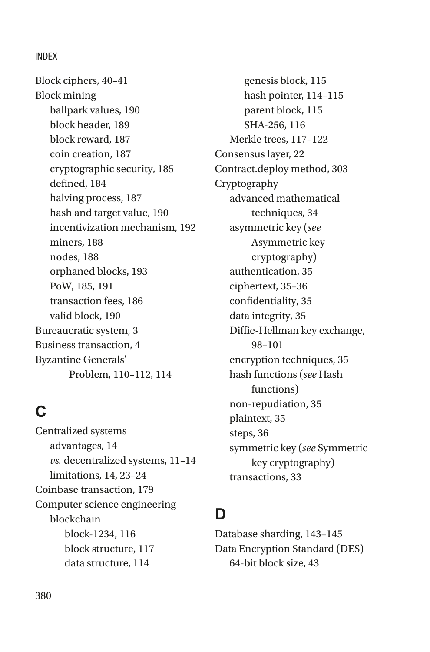Block ciphers, 40–41 Block mining ballpark values, 190 block header, 189 block reward, 187 coin creation, 187 cryptographic security, 185 defined, 184 halving process, 187 hash and target value, 190 incentivization mechanism, 192 miners, 188 nodes, 188 orphaned blocks, 193 PoW, 185, 191 transaction fees, 186 valid block, 190 Bureaucratic system, 3 Business transaction, 4 Byzantine Generals' Problem, 110–112, 114

#### **C**

Centralized systems advantages, 14 *vs.* decentralized systems, 11–14 limitations, 14, 23–24 Coinbase transaction, 179 Computer science engineering blockchain block-1234, 116 block structure, 117 data structure, 114

genesis block, 115 hash pointer, 114–115 parent block, 115 SHA-256, 116 Merkle trees, 117–122 Consensus layer, 22 Contract.deploy method, 303 Cryptography advanced mathematical techniques, 34 asymmetric key (*see*  Asymmetric key cryptography) authentication, 35 ciphertext, 35–36 confidentiality, 35 data integrity, 35 Diffie-Hellman key exchange, 98–101 encryption techniques, 35 hash functions (*see* Hash functions) non-repudiation, 35 plaintext, 35 steps, 36 symmetric key (*see* Symmetric key cryptography) transactions, 33

#### **D**

Database sharding, 143–145 Data Encryption Standard (DES) 64-bit block size, 43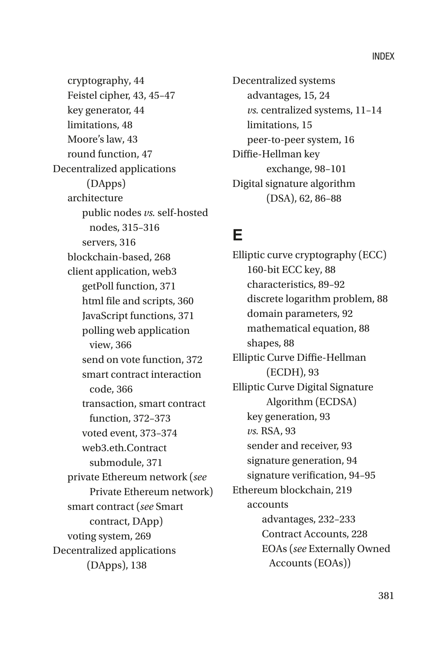cryptography, 44 Feistel cipher, 43, 45–47 key generator, 44 limitations, 48 Moore's law, 43 round function, 47 Decentralized applications (DApps) architecture public nodes *vs.* self-hosted nodes, 315–316 servers, 316 blockchain-based, 268 client application, web3 getPoll function, 371 html file and scripts, 360 JavaScript functions, 371 polling web application view, 366 send on vote function, 372 smart contract interaction code, 366 transaction, smart contract function, 372–373 voted event, 373–374 web3.eth.Contract submodule, 371 private Ethereum network (*see*  Private Ethereum network) smart contract (*see* Smart contract, DApp) voting system, 269 Decentralized applications (DApps), 138

Decentralized systems advantages, 15, 24 *vs.* centralized systems, 11–14 limitations, 15 peer-to-peer system, 16 Diffie-Hellman key exchange, 98–101 Digital signature algorithm (DSA), 62, 86–88

#### **E**

Elliptic curve cryptography (ECC) 160-bit ECC key, 88 characteristics, 89–92 discrete logarithm problem, 88 domain parameters, 92 mathematical equation, 88 shapes, 88 Elliptic Curve Diffie-Hellman (ECDH), 93 Elliptic Curve Digital Signature Algorithm (ECDSA) key generation, 93 *vs.* RSA, 93 sender and receiver, 93 signature generation, 94 signature verification, 94–95 Ethereum blockchain, 219 accounts advantages, 232–233 Contract Accounts, 228 EOAs (*see* Externally Owned Accounts (EOAs))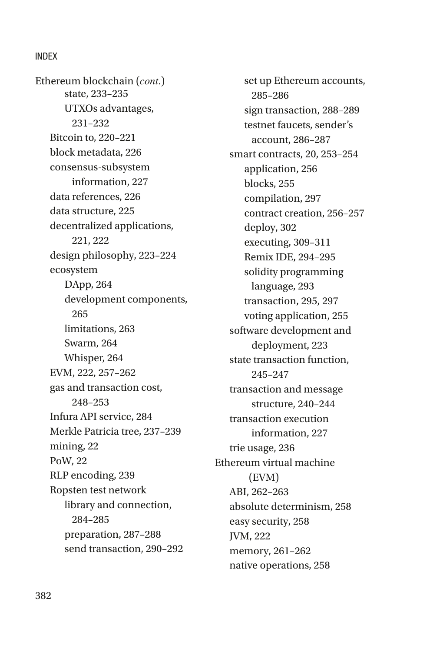state, 233–235 UTXOs advantages, 231–232 Bitcoin to, 220–221 block metadata, 226 consensus-subsystem information, 227 data references, 226 data structure, 225 decentralized applications, 221, 222 design philosophy, 223–224 ecosystem DApp, 264 development components, 265 limitations, 263 Swarm, 264 Whisper, 264 EVM, 222, 257–262 gas and transaction cost, 248–253 Infura API service, 284 Merkle Patricia tree, 237–239 mining, 22 PoW, 22 RLP encoding, 239 Ropsten test network library and connection, 284–285 preparation, 287–288 send transaction, 290–292 Ethereum blockchain (*cont*.)

set up Ethereum accounts, 285–286 sign transaction, 288–289 testnet faucets, sender's account, 286–287 smart contracts, 20, 253–254 application, 256 blocks, 255 compilation, 297 contract creation, 256–257 deploy, 302 executing, 309–311 Remix IDE, 294–295 solidity programming language, 293 transaction, 295, 297 voting application, 255 software development and deployment, 223 state transaction function, 245–247 transaction and message structure, 240–244 transaction execution information, 227 trie usage, 236 Ethereum virtual machine (EVM) ABI, 262–263 absolute determinism, 258 easy security, 258 JVM, 222 memory, 261–262 native operations, 258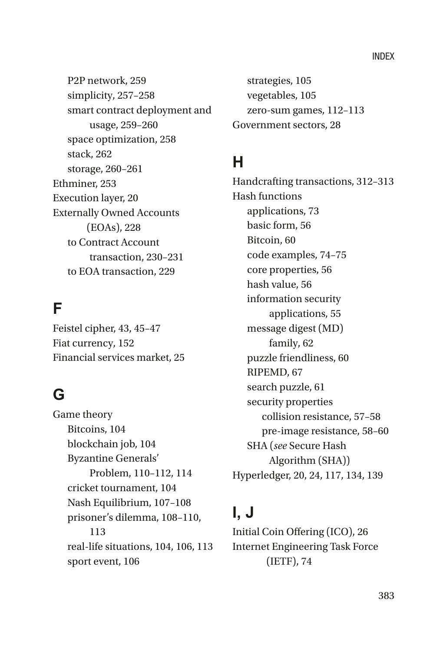P2P network, 259 simplicity, 257–258 smart contract deployment and usage, 259–260 space optimization, 258 stack, 262 storage, 260–261 Ethminer, 253 Execution layer, 20 Externally Owned Accounts (EOAs), 228 to Contract Account transaction, 230–231 to EOA transaction, 229

#### **F**

Feistel cipher, 43, 45–47 Fiat currency, 152 Financial services market, 25

#### **G**

Game theory Bitcoins, 104 blockchain job, 104 Byzantine Generals' Problem, 110–112, 114 cricket tournament, 104 Nash Equilibrium, 107–108 prisoner's dilemma, 108–110, 113 real-life situations, 104, 106, 113 sport event, 106

strategies, 105 vegetables, 105 zero-sum games, 112–113 Government sectors, 28

#### **H**

Handcrafting transactions, 312–313 Hash functions applications, 73 basic form, 56 Bitcoin, 60 code examples, 74–75 core properties, 56 hash value, 56 information security applications, 55 message digest (MD) family, 62 puzzle friendliness, 60 RIPEMD, 67 search puzzle, 61 security properties collision resistance, 57–58 pre-image resistance, 58–60 SHA (*see* Secure Hash Algorithm (SHA)) Hyperledger, 20, 24, 117, 134, 139

### **I, J**

Initial Coin Offering (ICO), 26 Internet Engineering Task Force (IETF), 74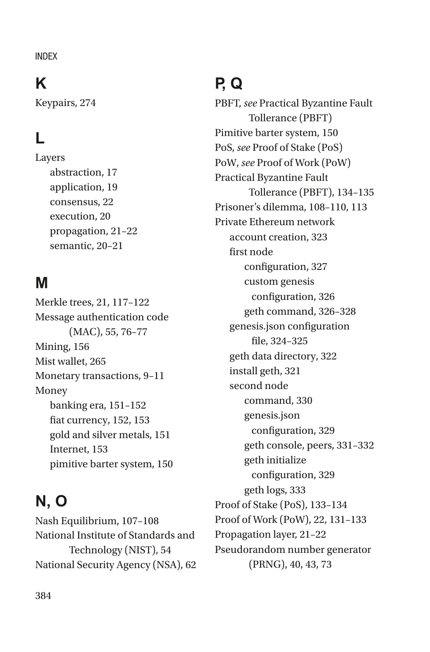### **K**

Keypairs, 274

# **L**

Layers abstraction, 17 application, 19 consensus, 22 execution, 20 propagation, 21–22 semantic, 20–21

# **M**

Merkle trees, 21, 117–122 Message authentication code (MAC), 55, 76–77 Mining, 156 Mist wallet, 265 Monetary transactions, 9–11 Money banking era, 151–152 fiat currency, 152, 153 gold and silver metals, 151 Internet, 153 pimitive barter system, 150

# **N, O**

Nash Equilibrium, 107–108 National Institute of Standards and Technology (NIST), 54 National Security Agency (NSA), 62

# **P, Q**

PBFT, *see* Practical Byzantine Fault Tollerance (PBFT) Pimitive barter system, 150 PoS, *see* Proof of Stake (PoS) PoW, *see* Proof of Work (PoW) Practical Byzantine Fault Tollerance (PBFT), 134–135 Prisoner's dilemma, 108–110, 113 Private Ethereum network account creation, 323 first node configuration, 327 custom genesis configuration, 326 geth command, 326–328 genesis.json configuration file, 324–325 geth data directory, 322 install geth, 321 second node command, 330 genesis.json configuration, 329 geth console, peers, 331–332 geth initialize configuration, 329 geth logs, 333 Proof of Stake (PoS), 133–134 Proof of Work (PoW), 22, 131–133 Propagation layer, 21–22 Pseudorandom number generator (PRNG), 40, 43, 73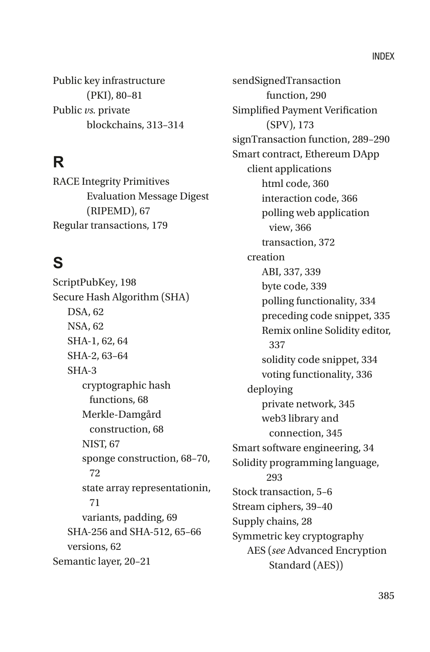Public key infrastructure (PKI), 80–81 Public *vs.* private blockchains, 313–314

# **R**

RACE Integrity Primitives Evaluation Message Digest (RIPEMD), 67 Regular transactions, 179

#### **S**

ScriptPubKey, 198 Secure Hash Algorithm (SHA) DSA, 62 NSA, 62 SHA-1, 62, 64 SHA-2, 63–64 SHA-3 cryptographic hash functions, 68 Merkle-Damgård construction, 68 NIST, 67 sponge construction, 68–70, 72 state array representationin, 71 variants, padding, 69 SHA-256 and SHA-512, 65–66 versions, 62 Semantic layer, 20–21

sendSignedTransaction function, 290 Simplified Payment Verification (SPV), 173 signTransaction function, 289–290 Smart contract, Ethereum DApp client applications html code, 360 interaction code, 366 polling web application view, 366 transaction, 372 creation ABI, 337, 339 byte code, 339 polling functionality, 334 preceding code snippet, 335 Remix online Solidity editor, 337 solidity code snippet, 334 voting functionality, 336 deploying private network, 345 web3 library and connection, 345 Smart software engineering, 34 Solidity programming language, 293 Stock transaction, 5–6 Stream ciphers, 39–40 Supply chains, 28 Symmetric key cryptography AES (*see* Advanced Encryption Standard (AES))